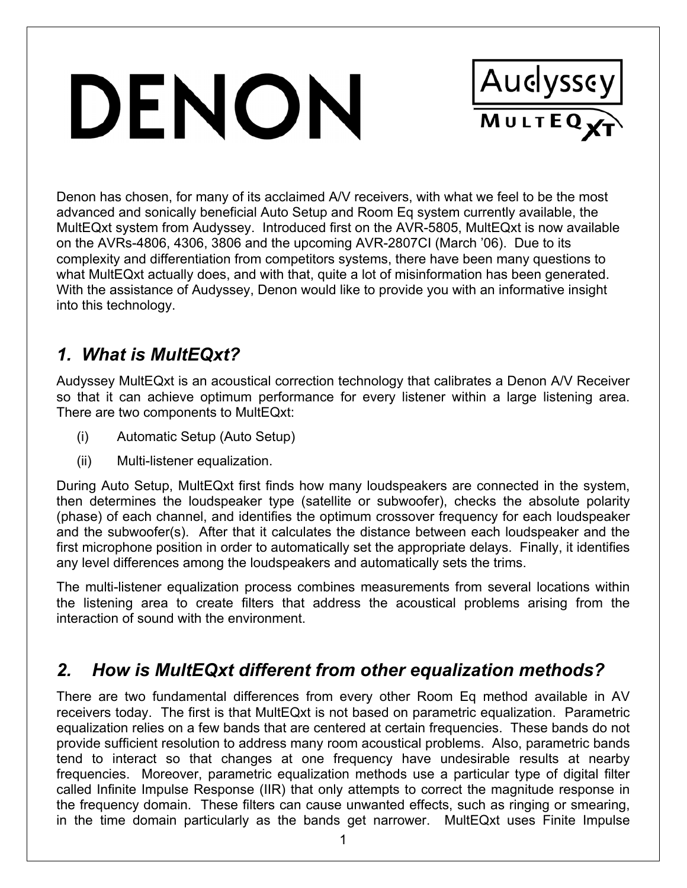# DENON



Denon has chosen, for many of its acclaimed A/V receivers, with what we feel to be the most advanced and sonically beneficial Auto Setup and Room Eq system currently available, the MultEQxt system from Audyssey. Introduced first on the AVR-5805, MultEQxt is now available on the AVRs-4806, 4306, 3806 and the upcoming AVR-2807CI (March '06). Due to its complexity and differentiation from competitors systems, there have been many questions to what MultEQxt actually does, and with that, quite a lot of misinformation has been generated. With the assistance of Audyssey, Denon would like to provide you with an informative insight into this technology.

# *1. What is MultEQxt?*

Audyssey MultEQxt is an acoustical correction technology that calibrates a Denon A/V Receiver so that it can achieve optimum performance for every listener within a large listening area. There are two components to MultEQxt:

- (i) Automatic Setup (Auto Setup)
- (ii) Multi-listener equalization.

During Auto Setup, MultEQxt first finds how many loudspeakers are connected in the system, then determines the loudspeaker type (satellite or subwoofer), checks the absolute polarity (phase) of each channel, and identifies the optimum crossover frequency for each loudspeaker and the subwoofer(s). After that it calculates the distance between each loudspeaker and the first microphone position in order to automatically set the appropriate delays. Finally, it identifies any level differences among the loudspeakers and automatically sets the trims.

The multi-listener equalization process combines measurements from several locations within the listening area to create filters that address the acoustical problems arising from the interaction of sound with the environment.

# *2. How is MultEQxt different from other equalization methods?*

There are two fundamental differences from every other Room Eq method available in AV receivers today. The first is that MultEQxt is not based on parametric equalization. Parametric equalization relies on a few bands that are centered at certain frequencies. These bands do not provide sufficient resolution to address many room acoustical problems. Also, parametric bands tend to interact so that changes at one frequency have undesirable results at nearby frequencies. Moreover, parametric equalization methods use a particular type of digital filter called Infinite Impulse Response (IIR) that only attempts to correct the magnitude response in the frequency domain. These filters can cause unwanted effects, such as ringing or smearing, in the time domain particularly as the bands get narrower. MultEQxt uses Finite Impulse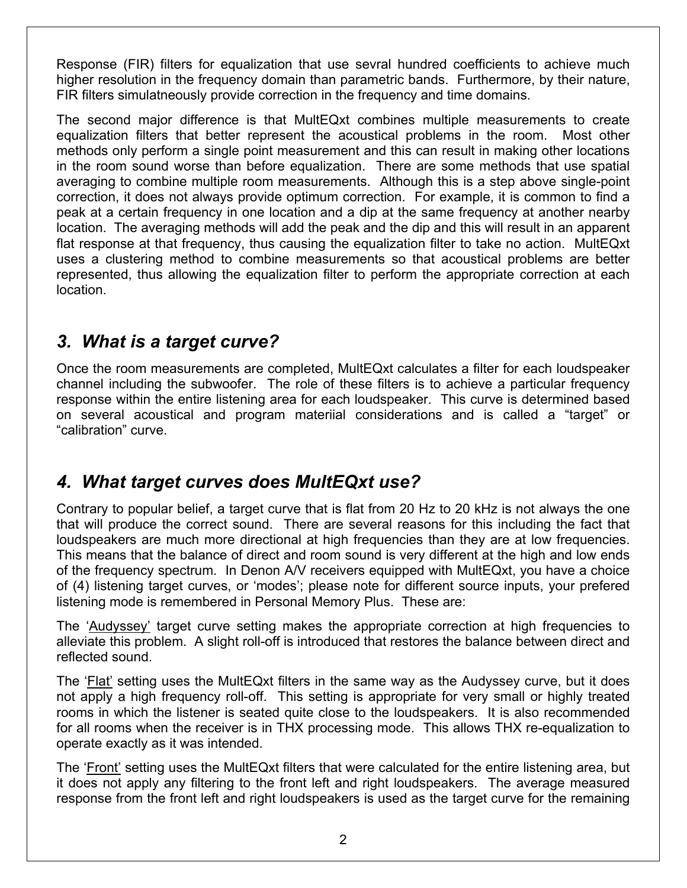Response (FIR) filters for equalization that use sevral hundred coefficients to achieve much higher resolution in the frequency domain than parametric bands. Furthermore, by their nature, FIR filters simulatneously provide correction in the frequency and time domains.

The second major difference is that MultEQxt combines multiple measurements to create equalization filters that better represent the acoustical problems in the room. Most other methods only perform a single point measurement and this can result in making other locations in the room sound worse than before equalization. There are some methods that use spatial averaging to combine multiple room measurements. Although this is a step above single-point correction, it does not always provide optimum correction. For example, it is common to find a peak at a certain frequency in one location and a dip at the same frequency at another nearby location. The averaging methods will add the peak and the dip and this will result in an apparent flat response at that frequency, thus causing the equalization filter to take no action. MultEQxt uses a clustering method to combine measurements so that acoustical problems are better represented, thus allowing the equalization filter to perform the appropriate correction at each location.

#### *3. What is a target curve?*

Once the room measurements are completed, MultEQxt calculates a filter for each loudspeaker channel including the subwoofer. The role of these filters is to achieve a particular frequency response within the entire listening area for each loudspeaker. This curve is determined based on several acoustical and program materiial considerations and is called a "target" or "calibration" curve.

# *4. What target curves does MultEQxt use?*

Contrary to popular belief, a target curve that is flat from 20 Hz to 20 kHz is not always the one that will produce the correct sound. There are several reasons for this including the fact that loudspeakers are much more directional at high frequencies than they are at low frequencies. This means that the balance of direct and room sound is very different at the high and low ends of the frequency spectrum. In Denon A/V receivers equipped with MultEQxt, you have a choice of (4) listening target curves, or 'modes'; please note for different source inputs, your prefered listening mode is remembered in Personal Memory Plus. These are:

The 'Audyssey' target curve setting makes the appropriate correction at high frequencies to alleviate this problem. A slight roll-off is introduced that restores the balance between direct and reflected sound.

The 'Flat' setting uses the MultEQxt filters in the same way as the Audyssey curve, but it does not apply a high frequency roll-off. This setting is appropriate for very small or highly treated rooms in which the listener is seated quite close to the loudspeakers. It is also recommended for all rooms when the receiver is in THX processing mode. This allows THX re-equalization to operate exactly as it was intended.

The 'Front' setting uses the MultEQxt filters that were calculated for the entire listening area, but it does not apply any filtering to the front left and right loudspeakers. The average measured response from the front left and right loudspeakers is used as the target curve for the remaining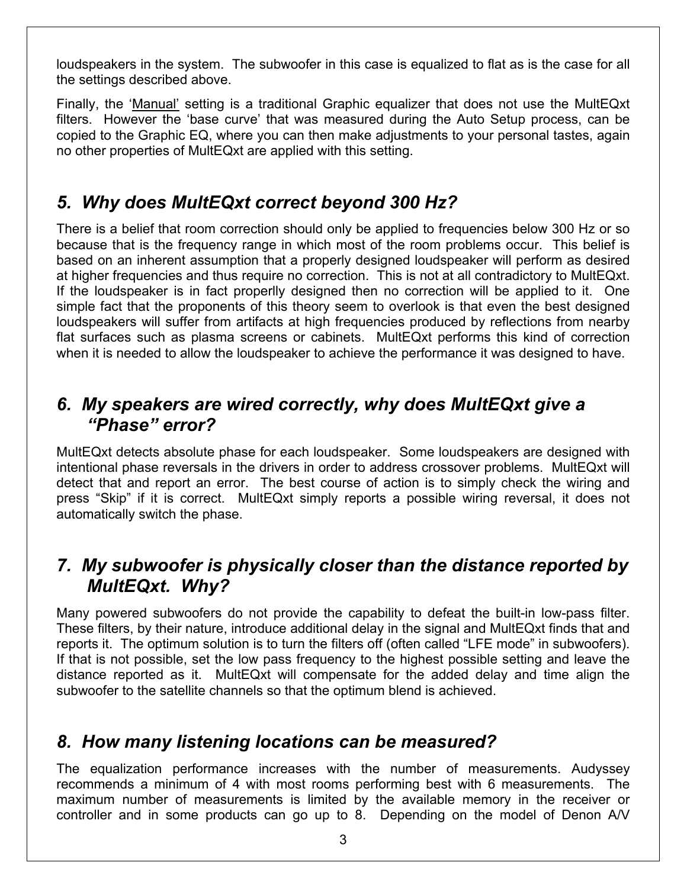loudspeakers in the system. The subwoofer in this case is equalized to flat as is the case for all the settings described above.

Finally, the 'Manual' setting is a traditional Graphic equalizer that does not use the MultEQxt filters. However the 'base curve' that was measured during the Auto Setup process, can be copied to the Graphic EQ, where you can then make adjustments to your personal tastes, again no other properties of MultEQxt are applied with this setting.

### *5. Why does MultEQxt correct beyond 300 Hz?*

There is a belief that room correction should only be applied to frequencies below 300 Hz or so because that is the frequency range in which most of the room problems occur. This belief is based on an inherent assumption that a properly designed loudspeaker will perform as desired at higher frequencies and thus require no correction. This is not at all contradictory to MultEQxt. If the loudspeaker is in fact properlly designed then no correction will be applied to it. One simple fact that the proponents of this theory seem to overlook is that even the best designed loudspeakers will suffer from artifacts at high frequencies produced by reflections from nearby flat surfaces such as plasma screens or cabinets. MultEQxt performs this kind of correction when it is needed to allow the loudspeaker to achieve the performance it was designed to have.

#### *6. My speakers are wired correctly, why does MultEQxt give a "Phase" error?*

MultEQxt detects absolute phase for each loudspeaker. Some loudspeakers are designed with intentional phase reversals in the drivers in order to address crossover problems. MultEQxt will detect that and report an error. The best course of action is to simply check the wiring and press "Skip" if it is correct. MultEQxt simply reports a possible wiring reversal, it does not automatically switch the phase.

#### *7. My subwoofer is physically closer than the distance reported by MultEQxt. Why?*

Many powered subwoofers do not provide the capability to defeat the built-in low-pass filter. These filters, by their nature, introduce additional delay in the signal and MultEQxt finds that and reports it. The optimum solution is to turn the filters off (often called "LFE mode" in subwoofers). If that is not possible, set the low pass frequency to the highest possible setting and leave the distance reported as it. MultEQxt will compensate for the added delay and time align the subwoofer to the satellite channels so that the optimum blend is achieved.

#### *8. How many listening locations can be measured?*

The equalization performance increases with the number of measurements. Audyssey recommends a minimum of 4 with most rooms performing best with 6 measurements. The maximum number of measurements is limited by the available memory in the receiver or controller and in some products can go up to 8. Depending on the model of Denon A/V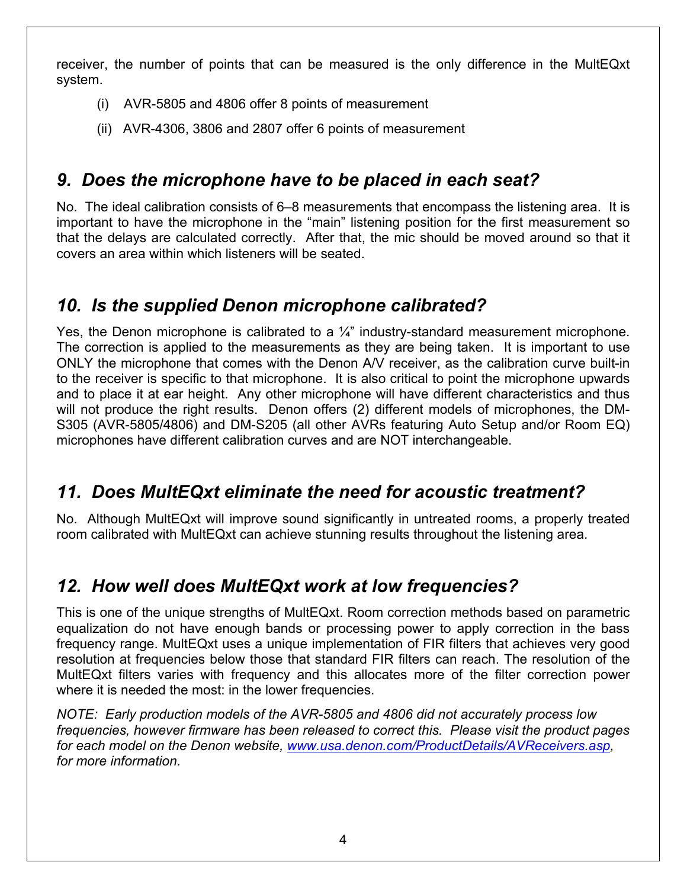receiver, the number of points that can be measured is the only difference in the MultEQxt system.

- (i) AVR-5805 and 4806 offer 8 points of measurement
- (ii) AVR-4306, 3806 and 2807 offer 6 points of measurement

# *9. Does the microphone have to be placed in each seat?*

No. The ideal calibration consists of 6–8 measurements that encompass the listening area. It is important to have the microphone in the "main" listening position for the first measurement so that the delays are calculated correctly. After that, the mic should be moved around so that it covers an area within which listeners will be seated.

# *10. Is the supplied Denon microphone calibrated?*

Yes, the Denon microphone is calibrated to a  $\frac{1}{4}$ " industry-standard measurement microphone. The correction is applied to the measurements as they are being taken. It is important to use ONLY the microphone that comes with the Denon A/V receiver, as the calibration curve built-in to the receiver is specific to that microphone. It is also critical to point the microphone upwards and to place it at ear height. Any other microphone will have different characteristics and thus will not produce the right results. Denon offers (2) different models of microphones, the DM-S305 (AVR-5805/4806) and DM-S205 (all other AVRs featuring Auto Setup and/or Room EQ) microphones have different calibration curves and are NOT interchangeable.

# *11. Does MultEQxt eliminate the need for acoustic treatment?*

No. Although MultEQxt will improve sound significantly in untreated rooms, a properly treated room calibrated with MultEQxt can achieve stunning results throughout the listening area.

# *12. How well does MultEQxt work at low frequencies?*

This is one of the unique strengths of MultEQxt. Room correction methods based on parametric equalization do not have enough bands or processing power to apply correction in the bass frequency range. MultEQxt uses a unique implementation of FIR filters that achieves very good resolution at frequencies below those that standard FIR filters can reach. The resolution of the MultEQxt filters varies with frequency and this allocates more of the filter correction power where it is needed the most: in the lower frequencies.

*NOTE: Early production models of the AVR-5805 and 4806 did not accurately process low frequencies, however firmware has been released to correct this. Please visit the product pages for each model on the Denon website, [www.usa.denon.com/ProductDetails/AVReceivers.asp](http://www.usa.denon.com/ProductDetails/AVReceivers.asp), for more information.*